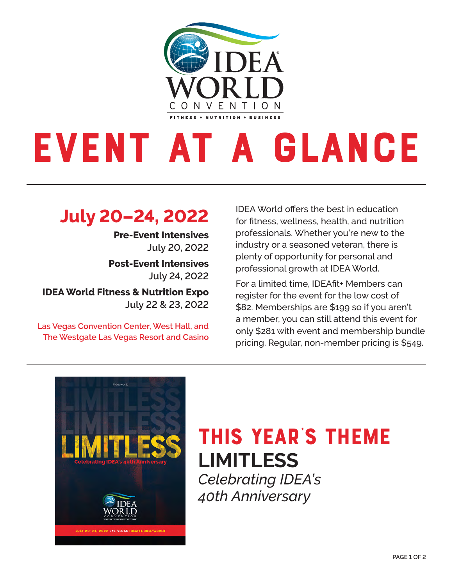

# EVENT AT A GLANCE

#### **July 20–24, 2022**

**Pre-Event Intensives July 20, 2022**

**Post-Event Intensives July 24, 2022**

**IDEA World Fitness & Nutrition Expo July 22 & 23, 2022**

**Las Vegas Convention Center, West Hall, and The Westgate Las Vegas Resort and Casino** IDEA World offers the best in education for fitness, wellness, health, and nutrition professionals. Whether you're new to the industry or a seasoned veteran, there is plenty of opportunity for personal and professional growth at IDEA World.

For a limited time, IDEAfit+ Members can register for the event for the low cost of \$82. Memberships are \$199 so if you aren't a member, you can still attend this event for only \$281 with event and membership bundle pricing. Regular, non-member pricing is \$549.



## This year's Theme **LIMITLESS** *Celebrating IDEA's*

*40th Anniversary*